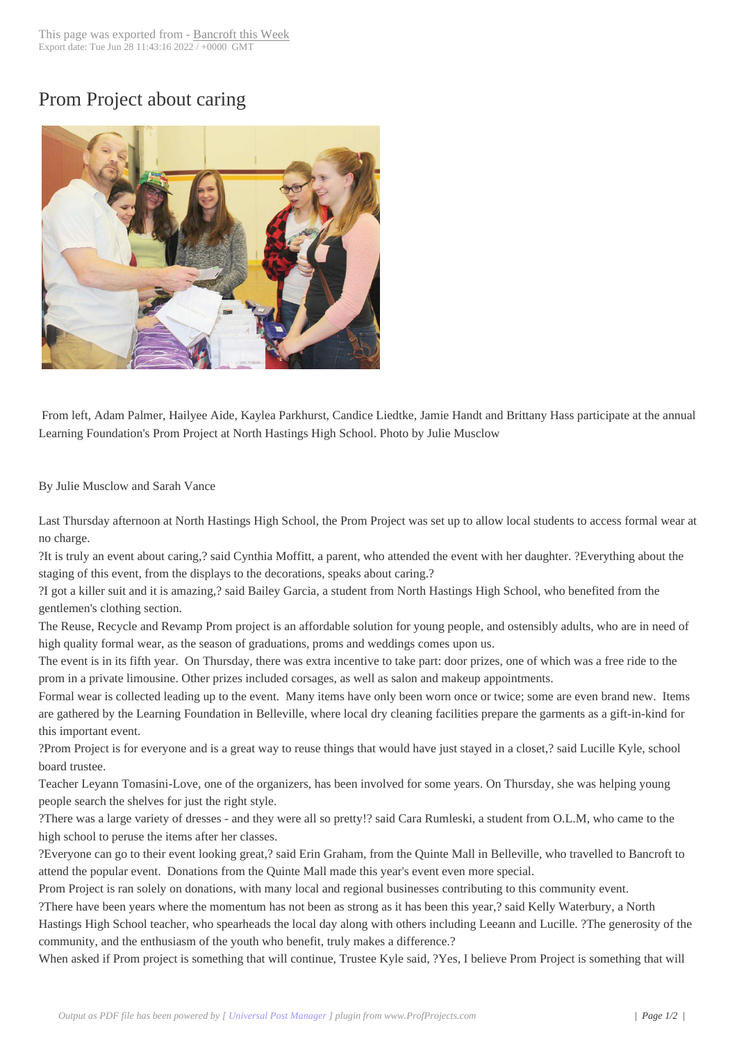## Prom Project about [caring](http://www.bancroftthisweek.com/?p=6226)



From left, Adam Palmer, Hailyee Aide, Kaylea Parkhurst, Candice Liedtke, Jamie Handt and Brittany Hass participate at the annual Learning Foundation's Prom Project at North Hastings High School. Photo by Julie Musclow

## By Julie Musclow and Sarah Vance

Last Thursday afternoon at North Hastings High School, the Prom Project was set up to allow local students to access formal wear at no charge.

?It is truly an event about caring,? said Cynthia Moffitt, a parent, who attended the event with her daughter. ?Everything about the staging of this event, from the displays to the decorations, speaks about caring.?

?I got a killer suit and it is amazing,? said Bailey Garcia, a student from North Hastings High School, who benefited from the gentlemen's clothing section.

The Reuse, Recycle and Revamp Prom project is an affordable solution for young people, and ostensibly adults, who are in need of high quality formal wear, as the season of graduations, proms and weddings comes upon us.

The event is in its fifth year. On Thursday, there was extra incentive to take part: door prizes, one of which was a free ride to the prom in a private limousine. Other prizes included corsages, as well as salon and makeup appointments.

Formal wear is collected leading up to the event. Many items have only been worn once or twice; some are even brand new. Items are gathered by the Learning Foundation in Belleville, where local dry cleaning facilities prepare the garments as a gift-in-kind for this important event.

?Prom Project is for everyone and is a great way to reuse things that would have just stayed in a closet,? said Lucille Kyle, school board trustee.

Teacher Leyann Tomasini-Love, one of the organizers, has been involved for some years. On Thursday, she was helping young people search the shelves for just the right style.

?There was a large variety of dresses - and they were all so pretty!? said Cara Rumleski, a student from O.L.M, who came to the high school to peruse the items after her classes.

?Everyone can go to their event looking great,? said Erin Graham, from the Quinte Mall in Belleville, who travelled to Bancroft to attend the popular event. Donations from the Quinte Mall made this year's event even more special.

Prom Project is ran solely on donations, with many local and regional businesses contributing to this community event.

?There have been years where the momentum has not been as strong as it has been this year,? said Kelly Waterbury, a North

Hastings High School teacher, who spearheads the local day along with others including Leeann and Lucille. ?The generosity of the community, and the enthusiasm of the youth who benefit, truly makes a difference.?

When asked if Prom project is something that will continue, Trustee Kyle said, ?Yes, I believe Prom Project is something that will